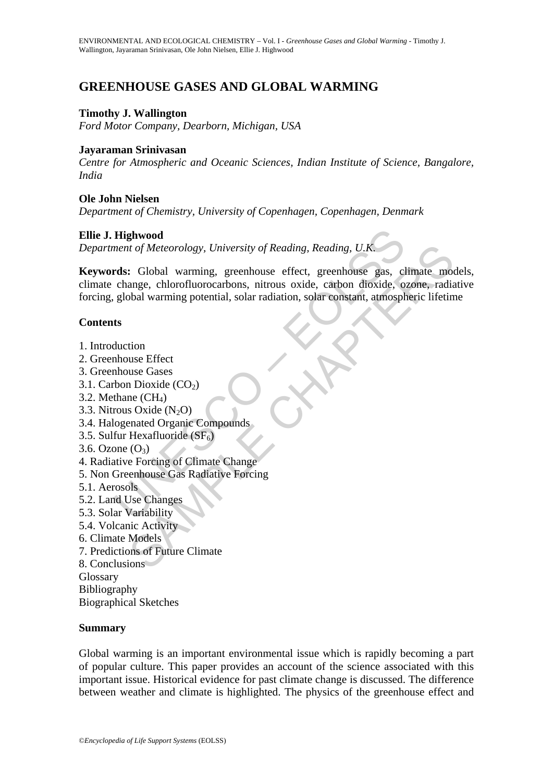# **GREENHOUSE GASES AND GLOBAL WARMING**

#### **Timothy J. Wallington**

*Ford Motor Company, Dearborn, Michigan, USA* 

#### **Jayaraman Srinivasan**

*Centre for Atmospheric and Oceanic Sciences, Indian Institute of Science, Bangalore, India* 

#### **Ole John Nielsen**

*Department of Chemistry, University of Copenhagen, Copenhagen, Denmark* 

### **Ellie J. Highwood**

*Department of Meteorology, University of Reading, Reading, U.K.*

**Highwood**<br>
ment of Meteorology, University of Reading, Reading, U.K.<br> **rds:** Global warming, greenhouse effect, greenhouse gas, cl<br>
change, chlorofluorocarbons, nitrous oxide, carbon dioxide, o<br>
global warming potential, *u* of *Meteorology*, *University of Reading*, *Reading*, *U.K.*<br> **Example 2.**<br> **CHAPTERS** CHO warming, greenhouse effect, greenhouse gas, climate moonge, chlorofluorocarbons, nitrous oxide, carbon dioxide, ozone, radiatio **Keywords:** Global warming, greenhouse effect, greenhouse gas, climate models, climate change, chlorofluorocarbons, nitrous oxide, carbon dioxide, ozone, radiative forcing, global warming potential, solar radiation, solar constant, atmospheric lifetime

### **Contents**

- 1. Introduction
- 2. Greenhouse Effect
- 3. Greenhouse Gases
- 3.1. Carbon Dioxide  $(CO<sub>2</sub>)$
- 3.2. Methane  $(CH_4)$
- 3.3. Nitrous Oxide  $(N_2O)$
- 3.4. Halogenated Organic Compounds
- 3.5. Sulfur Hexafluoride  $(SF_6)$
- $3.6.$  Ozone  $(O_3)$
- 4. Radiative Forcing of Climate Change
- 5. Non Greenhouse Gas Radiative Forcing
- 5.1. Aerosols
- 5.2. Land Use Changes
- 5.3. Solar Variability
- 5.4. Volcanic Activity
- 6. Climate Models
- 7. Predictions of Future Climate
- 8. Conclusions

Glossary

Bibliography

Biographical Sketches

#### **Summary**

Global warming is an important environmental issue which is rapidly becoming a part of popular culture. This paper provides an account of the science associated with this important issue. Historical evidence for past climate change is discussed. The difference between weather and climate is highlighted. The physics of the greenhouse effect and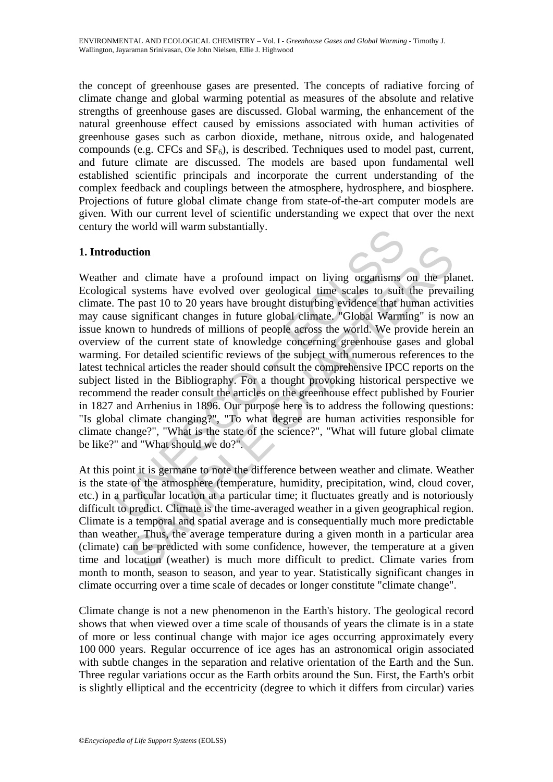the concept of greenhouse gases are presented. The concepts of radiative forcing of climate change and global warming potential as measures of the absolute and relative strengths of greenhouse gases are discussed. Global warming, the enhancement of the natural greenhouse effect caused by emissions associated with human activities of greenhouse gases such as carbon dioxide, methane, nitrous oxide, and halogenated compounds (e.g. CFCs and  $SF<sub>6</sub>$ ), is described. Techniques used to model past, current, and future climate are discussed. The models are based upon fundamental well established scientific principals and incorporate the current understanding of the complex feedback and couplings between the atmosphere, hydrosphere, and biosphere. Projections of future global climate change from state-of-the-art computer models are given. With our current level of scientific understanding we expect that over the next century the world will warm substantially.

## **1. Introduction**

duction<br>
and climate have a profound impact on living organisms<br>
cal systems have evolved over geological time scales to suit<br>
The past 10 to 20 years have brought disturbing evidence that h<br>
use significant changes in fut **ction**<br>
and climate have a profound impact on living organisms on the pla<br>
systems have evolved over geological time scales to suit the prevai<br>
ne past 10 to 20 years have brought disturbing evidence that human activ<br>
si Weather and climate have a profound impact on living organisms on the planet. Ecological systems have evolved over geological time scales to suit the prevailing climate. The past 10 to 20 years have brought disturbing evidence that human activities may cause significant changes in future global climate. "Global Warming" is now an issue known to hundreds of millions of people across the world. We provide herein an overview of the current state of knowledge concerning greenhouse gases and global warming. For detailed scientific reviews of the subject with numerous references to the latest technical articles the reader should consult the comprehensive IPCC reports on the subject listed in the Bibliography. For a thought provoking historical perspective we recommend the reader consult the articles on the greenhouse effect published by Fourier in 1827 and Arrhenius in 1896. Our purpose here is to address the following questions: "Is global climate changing?", "To what degree are human activities responsible for climate change?", "What is the state of the science?", "What will future global climate be like?" and "What should we do?".

At this point it is germane to note the difference between weather and climate. Weather is the state of the atmosphere (temperature, humidity, precipitation, wind, cloud cover, etc.) in a particular location at a particular time; it fluctuates greatly and is notoriously difficult to predict. Climate is the time-averaged weather in a given geographical region. Climate is a temporal and spatial average and is consequentially much more predictable than weather. Thus, the average temperature during a given month in a particular area (climate) can be predicted with some confidence, however, the temperature at a given time and location (weather) is much more difficult to predict. Climate varies from month to month, season to season, and year to year. Statistically significant changes in climate occurring over a time scale of decades or longer constitute "climate change".

Climate change is not a new phenomenon in the Earth's history. The geological record shows that when viewed over a time scale of thousands of years the climate is in a state of more or less continual change with major ice ages occurring approximately every 100 000 years. Regular occurrence of ice ages has an astronomical origin associated with subtle changes in the separation and relative orientation of the Earth and the Sun. Three regular variations occur as the Earth orbits around the Sun. First, the Earth's orbit is slightly elliptical and the eccentricity (degree to which it differs from circular) varies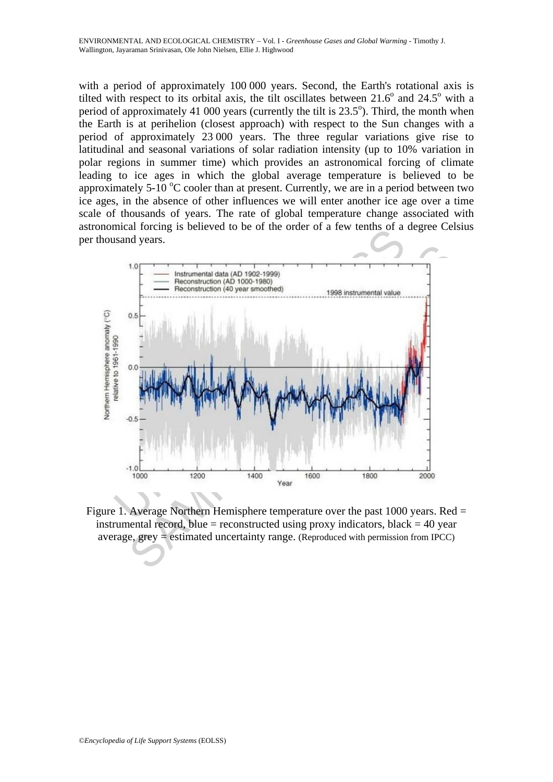with a period of approximately 100 000 years. Second, the Earth's rotational axis is tilted with respect to its orbital axis, the tilt oscillates between  $21.6^{\circ}$  and  $24.5^{\circ}$  with a period of approximately 41 000 years (currently the tilt is  $23.5^{\circ}$ ). Third, the month when the Earth is at perihelion (closest approach) with respect to the Sun changes with a period of approximately 23 000 years. The three regular variations give rise to latitudinal and seasonal variations of solar radiation intensity (up to 10% variation in polar regions in summer time) which provides an astronomical forcing of climate leading to ice ages in which the global average temperature is believed to be approximately 5-10  $\degree$ C cooler than at present. Currently, we are in a period between two ice ages, in the absence of other influences we will enter another ice age over a time scale of thousands of years. The rate of global temperature change associated with astronomical forcing is believed to be of the order of a few tenths of a degree Celsius per thousand years.



Figure 1. Average Northern Hemisphere temperature over the past 1000 years. Red = instrumental record, blue = reconstructed using proxy indicators, black =  $40$  year average,  $grey = estimated uncertainty range.$  (Reproduced with permission from IPCC)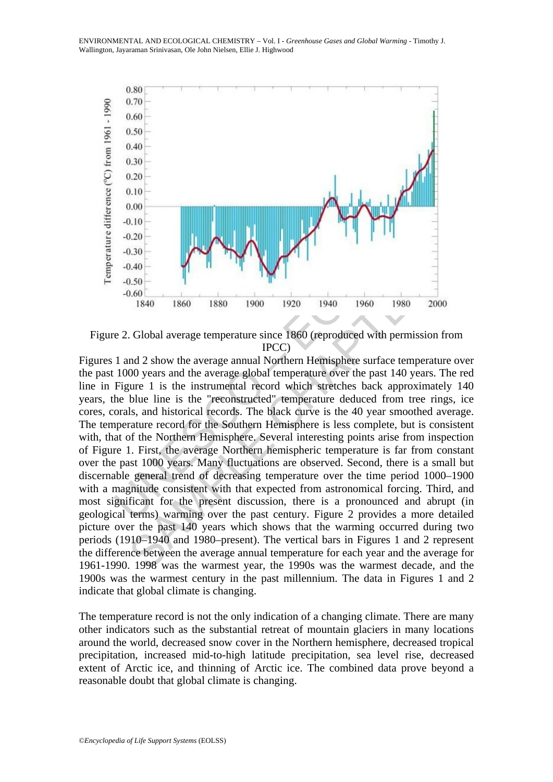

Figure 2. Global average temperature since 1860 (reproduced with permission from IPCC)

-0.20<br>
-0.30<br>
-0.40<br>
-0.40<br>
-0.40<br>
-0.50<br>
-0.60<br>
-1840 1860 1880 1900 1920 1940 1960 1988<br>
e 2. Global average temperature since 1860 (reproduced with perrometric metapolean in the survey of the solution of the solution of 0.30<br>
1840 1860 1880 1900 1920 1940 1960 1980 2000<br>
1840 1860 1880 1900 1920 1940 1960 1980 2000<br>
1840 1860 1880 1970 1920 1940 1960 1980 2000<br>
1840 1840 1860 1880 1900 1920 1940 1960 1980 2000<br>
1840 1840 1860 1880 1970 19 Figures 1 and 2 show the average annual Northern Hemisphere surface temperature over the past 1000 years and the average global temperature over the past 140 years. The red line in Figure 1 is the instrumental record which stretches back approximately 140 years, the blue line is the "reconstructed" temperature deduced from tree rings, ice cores, corals, and historical records. The black curve is the 40 year smoothed average. The temperature record for the Southern Hemisphere is less complete, but is consistent with, that of the Northern Hemisphere. Several interesting points arise from inspection of Figure 1. First, the average Northern hemispheric temperature is far from constant over the past 1000 years. Many fluctuations are observed. Second, there is a small but discernable general trend of decreasing temperature over the time period 1000–1900 with a magnitude consistent with that expected from astronomical forcing. Third, and most significant for the present discussion, there is a pronounced and abrupt (in geological terms) warming over the past century. Figure 2 provides a more detailed picture over the past 140 years which shows that the warming occurred during two periods (1910–1940 and 1980–present). The vertical bars in Figures 1 and 2 represent the difference between the average annual temperature for each year and the average for 1961-1990. 1998 was the warmest year, the 1990s was the warmest decade, and the 1900s was the warmest century in the past millennium. The data in Figures 1 and 2 indicate that global climate is changing.

The temperature record is not the only indication of a changing climate. There are many other indicators such as the substantial retreat of mountain glaciers in many locations around the world, decreased snow cover in the Northern hemisphere, decreased tropical precipitation, increased mid-to-high latitude precipitation, sea level rise, decreased extent of Arctic ice, and thinning of Arctic ice. The combined data prove beyond a reasonable doubt that global climate is changing.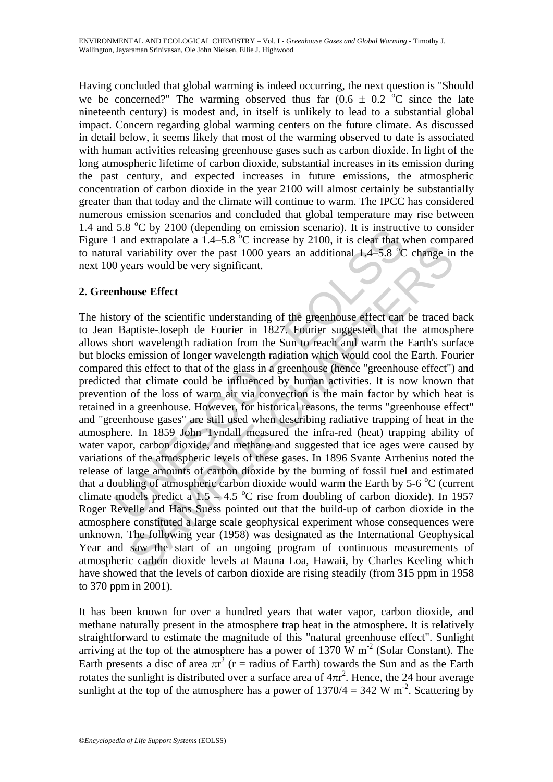Having concluded that global warming is indeed occurring, the next question is "Should we be concerned?" The warming observed thus far  $(0.6 \pm 0.2 \degree C)$  since the late nineteenth century) is modest and, in itself is unlikely to lead to a substantial global impact. Concern regarding global warming centers on the future climate. As discussed in detail below, it seems likely that most of the warming observed to date is associated with human activities releasing greenhouse gases such as carbon dioxide. In light of the long atmospheric lifetime of carbon dioxide, substantial increases in its emission during the past century, and expected increases in future emissions, the atmospheric concentration of carbon dioxide in the year 2100 will almost certainly be substantially greater than that today and the climate will continue to warm. The IPCC has considered numerous emission scenarios and concluded that global temperature may rise between 1.4 and 5.8 °C by 2100 (depending on emission scenario). It is instructive to consider Figure 1 and extrapolate a  $1.4-5.8$  °C increase by 2100, it is clear that when compared to natural variability over the past 1000 years an additional  $1.4-5.8$  °C change in the next 100 years would be very significant.

## **2. Greenhouse Effect**

3.8 C by 2100 (depending on emission scenario). It is instructed and extrapolate a 1.4–5.8 °C increase by 2100, it is clear that a rai and extrapolate a 1.4–5.8 °C increase by 2100, it is clear that and extrapolate a 1.4– as entuy was extracted on the pass of extendance and the buildup of early avariability over the past 1000 years an additional 1.4–5.8 °C change in<br>ears would be very significant.<br>Displaciate-Joseph de Fourier in 1827. Four The history of the scientific understanding of the greenhouse effect can be traced back to Jean Baptiste-Joseph de Fourier in 1827. Fourier suggested that the atmosphere allows short wavelength radiation from the Sun to reach and warm the Earth's surface but blocks emission of longer wavelength radiation which would cool the Earth. Fourier compared this effect to that of the glass in a greenhouse (hence "greenhouse effect") and predicted that climate could be influenced by human activities. It is now known that prevention of the loss of warm air via convection is the main factor by which heat is retained in a greenhouse. However, for historical reasons, the terms "greenhouse effect" and "greenhouse gases" are still used when describing radiative trapping of heat in the atmosphere. In 1859 John Tyndall measured the infra-red (heat) trapping ability of water vapor, carbon dioxide, and methane and suggested that ice ages were caused by variations of the atmospheric levels of these gases. In 1896 Svante Arrhenius noted the release of large amounts of carbon dioxide by the burning of fossil fuel and estimated that a doubling of atmospheric carbon dioxide would warm the Earth by 5-6  $\rm{°C}$  (current climate models predict a  $1.5 - 4.5$  °C rise from doubling of carbon dioxide). In 1957 Roger Revelle and Hans Suess pointed out that the build-up of carbon dioxide in the atmosphere constituted a large scale geophysical experiment whose consequences were unknown. The following year (1958) was designated as the International Geophysical Year and saw the start of an ongoing program of continuous measurements of atmospheric carbon dioxide levels at Mauna Loa, Hawaii, by Charles Keeling which have showed that the levels of carbon dioxide are rising steadily (from 315 ppm in 1958 to 370 ppm in 2001).

It has been known for over a hundred years that water vapor, carbon dioxide, and methane naturally present in the atmosphere trap heat in the atmosphere. It is relatively straightforward to estimate the magnitude of this "natural greenhouse effect". Sunlight arriving at the top of the atmosphere has a power of 1370 W  $m^{-2}$  (Solar Constant). The Earth presents a disc of area  $\pi r^2$  (r = radius of Earth) towards the Sun and as the Earth rotates the sunlight is distributed over a surface area of  $4\pi r^2$ . Hence, the 24 hour average sunlight at the top of the atmosphere has a power of  $1370/4 = 342$  W m<sup>-2</sup>. Scattering by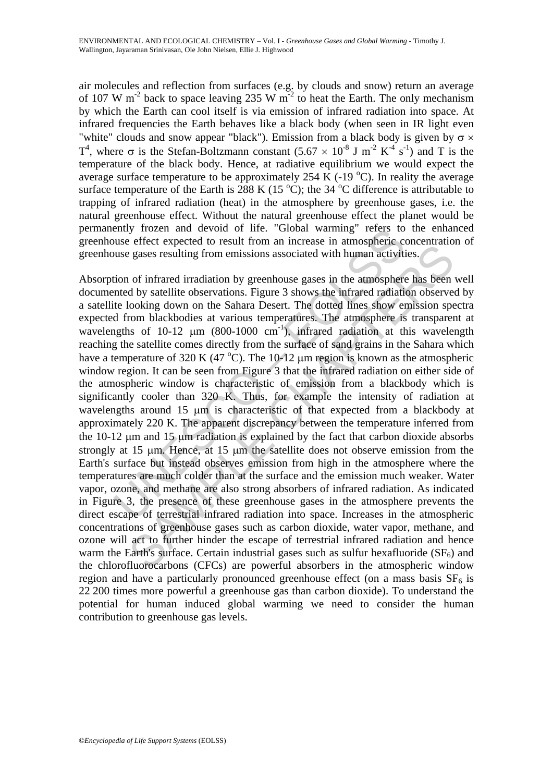air molecules and reflection from surfaces (e.g. by clouds and snow) return an average of 107 W m<sup>-2</sup> back to space leaving 235 W m<sup>-2</sup> to heat the Earth. The only mechanism by which the Earth can cool itself is via emission of infrared radiation into space. At infrared frequencies the Earth behaves like a black body (when seen in IR light even "white" clouds and snow appear "black"). Emission from a black body is given by  $\sigma \times$  $T<sup>4</sup>$ , where σ is the Stefan-Boltzmann constant  $(5.67 \times 10^{-8}$  J m<sup>-2</sup> K<sup>-4</sup> s<sup>-1</sup>) and T is the temperature of the black body. Hence, at radiative equilibrium we would expect the average surface temperature to be approximately 254 K (-19  $^{\circ}$ C). In reality the average surface temperature of the Earth is 288 K (15  $^{\circ}$ C); the 34  $^{\circ}$ C difference is attributable to trapping of infrared radiation (heat) in the atmosphere by greenhouse gases, i.e. the natural greenhouse effect. Without the natural greenhouse effect the planet would be permanently frozen and devoid of life. "Global warming" refers to the enhanced greenhouse effect expected to result from an increase in atmospheric concentration of greenhouse gases resulting from emissions associated with human activities.

ently frozen and devotd of life. 'Global warming' refers to<br>use effect expected to result from an increase in atmospheric case<br>gases resulting from emissions associated with human activiti<br>tion of infrared irradiation by erected to restar form in metecks in annotation and moreover and interest of restar in an increase in the amospheric content and by staellite observations. Figure 3 shows the infrared radiation observed ooking down on the Absorption of infrared irradiation by greenhouse gases in the atmosphere has been well documented by satellite observations. Figure 3 shows the infrared radiation observed by a satellite looking down on the Sahara Desert. The dotted lines show emission spectra expected from blackbodies at various temperatures. The atmosphere is transparent at wavelengths of 10-12  $\mu$ m (800-1000 cm<sup>-1</sup>), infrared radiation at this wavelength reaching the satellite comes directly from the surface of sand grains in the Sahara which have a temperature of 320 K (47 °C). The 10-12  $\mu$ m region is known as the atmospheric window region. It can be seen from Figure 3 that the infrared radiation on either side of the atmospheric window is characteristic of emission from a blackbody which is significantly cooler than 320 K. Thus, for example the intensity of radiation at wavelengths around 15 μm is characteristic of that expected from a blackbody at approximately 220 K. The apparent discrepancy between the temperature inferred from the 10-12 μm and 15 μm radiation is explained by the fact that carbon dioxide absorbs strongly at 15 μm. Hence, at 15 μm the satellite does not observe emission from the Earth's surface but instead observes emission from high in the atmosphere where the temperatures are much colder than at the surface and the emission much weaker. Water vapor, ozone, and methane are also strong absorbers of infrared radiation. As indicated in Figure 3, the presence of these greenhouse gases in the atmosphere prevents the direct escape of terrestrial infrared radiation into space. Increases in the atmospheric concentrations of greenhouse gases such as carbon dioxide, water vapor, methane, and ozone will act to further hinder the escape of terrestrial infrared radiation and hence warm the Earth's surface. Certain industrial gases such as sulfur hexafluoride  $(SF_6)$  and the chlorofluorocarbons (CFCs) are powerful absorbers in the atmospheric window region and have a particularly pronounced greenhouse effect (on a mass basis  $SF<sub>6</sub>$  is 22 200 times more powerful a greenhouse gas than carbon dioxide). To understand the potential for human induced global warming we need to consider the human contribution to greenhouse gas levels.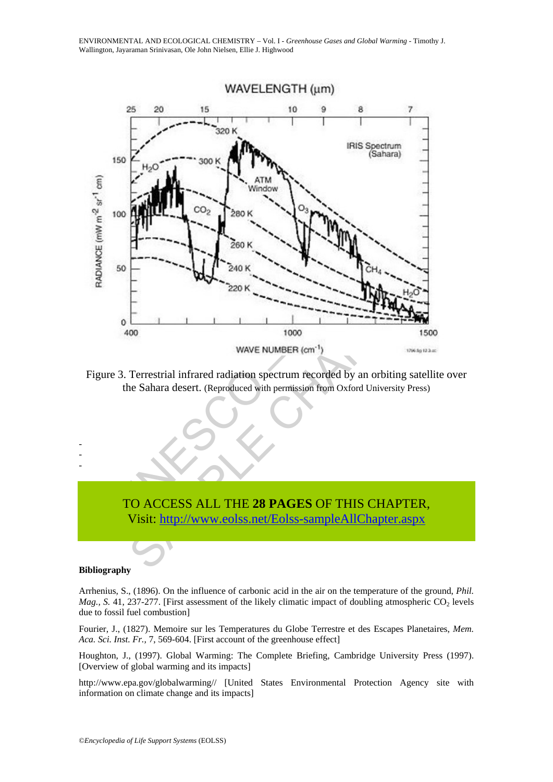

Figure 3. Terrestrial infrared radiation spectrum recorded by an orbiting satellite over the Sahara desert. (Reproduced with permission from Oxford University Press)

# TO ACCESS ALL THE **28 PAGES** OF THIS CHAPTER, Visit: http://www.eolss.net/Eolss-sampleAllChapter.aspx

#### **Bibliography**

- - -

Arrhenius, S., (1896). On the influence of carbonic acid in the air on the temperature of the ground, *Phil. Mag.*, S. 41, 237-277. [First assessment of the likely climatic impact of doubling atmospheric CO<sub>2</sub> levels due to fossil fuel combustion]

Fourier, J., (1827). Memoire sur les Temperatures du Globe Terrestre et des Escapes Planetaires, *Mem. Aca. Sci. Inst. Fr.,* 7, 569-604. [First account of the greenhouse effect]

Houghton, J., (1997). Global Warming: The Complete Briefing, Cambridge University Press (1997). [Overview of global warming and its impacts]

http://www.epa.gov/globalwarming// [United States Environmental Protection Agency site with information on climate change and its impacts]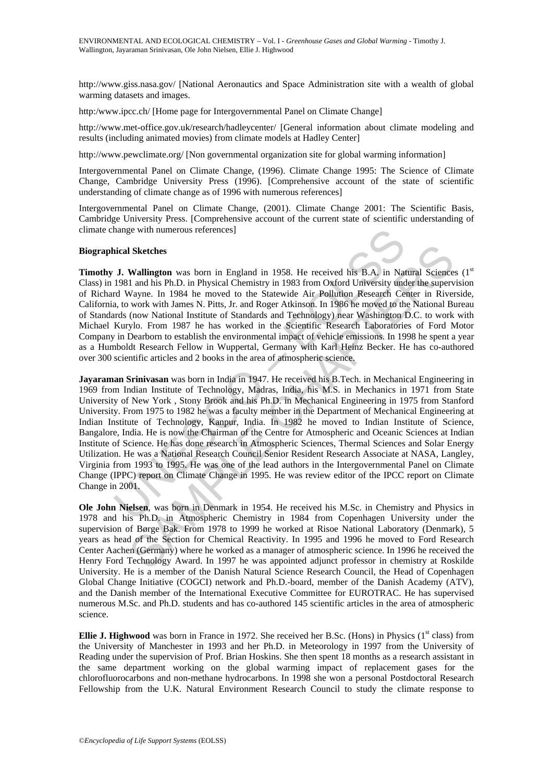http://www.giss.nasa.gov/ [National Aeronautics and Space Administration site with a wealth of global warming datasets and images.

http:/www.ipcc.ch/ [Home page for Intergovernmental Panel on Climate Change]

http://www.met-office.gov.uk/research/hadleycenter/ [General information about climate modeling and results (including animated movies) from climate models at Hadley Center]

http://www.pewclimate.org/ [Non governmental organization site for global warming information]

Intergovernmental Panel on Climate Change, (1996). Climate Change 1995: The Science of Climate Change, Cambridge University Press (1996). [Comprehensive account of the state of scientific understanding of climate change as of 1996 with numerous references]

Intergovernmental Panel on Climate Change, (2001). Climate Change 2001: The Scientific Basis, Cambridge University Press. [Comprehensive account of the current state of scientific understanding of climate change with numerous references]

#### **Biographical Sketches**



**Timothy J. Wallington** was born in England in 1958. He received his B.A. in Natural Sciences (1st Class) in 1981 and his Ph.D. in Physical Chemistry in 1983 from Oxford University under the supervision of Richard Wayne. In 1984 he moved to the Statewide Air Pollution Research Center in Riverside, California, to work with James N. Pitts, Jr. and Roger Atkinson. In 1986 he moved to the National Bureau of Standards (now National Institute of Standards and Technology) near Washington D.C. to work with Michael Kurylo. From 1987 he has worked in the Scientific Research Laboratories of Ford Motor Company in Dearborn to establish the environmental impact of vehicle emissions. In 1998 he spent a year as a Humboldt Research Fellow in Wuppertal, Germany with Karl Heinz Becker. He has co-authored over 300 scientific articles and 2 books in the area of atmospheric science.

hange with numerous references]<br>
ical Sketches<br>
J. Wallington was born in England in 1958. He received his B.A. in Na<br>
1981 and his Ph.D. in Physical Chemistry in 1983 from Oxford University und<br>
d Wayne. In 1984 he moved **ISketches**<br> **Wallington** was born in England in 1958. He received his B.A, in Natural Science<br>
1 and his Ph.D. in Physical Chemistry in 1983 from Oxford University under the superv<br>
Work. In 1984 he moved to the Statewide **Jayaraman Srinivasan** was born in India in 1947. He received his B.Tech. in Mechanical Engineering in 1969 from Indian Institute of Technology, Madras, India, his M.S. in Mechanics in 1971 from State University of New York , Stony Brook and his Ph.D. in Mechanical Engineering in 1975 from Stanford University. From 1975 to 1982 he was a faculty member in the Department of Mechanical Engineering at Indian Institute of Technology, Kanpur, India. In 1982 he moved to Indian Institute of Science, Bangalore, India. He is now the Chairman of the Centre for Atmospheric and Oceanic Sciences at Indian Institute of Science. He has done research in Atmospheric Sciences, Thermal Sciences and Solar Energy Utilization. He was a National Research Council Senior Resident Research Associate at NASA, Langley, Virginia from 1993 to 1995. He was one of the lead authors in the Intergovernmental Panel on Climate Change (IPPC) report on Climate Change in 1995. He was review editor of the IPCC report on Climate Change in 2001.

**Ole John Nielsen**, was born in Denmark in 1954. He received his M.Sc. in Chemistry and Physics in 1978 and his Ph.D. in Atmospheric Chemistry in 1984 from Copenhagen University under the supervision of Børge Bak. From 1978 to 1999 he worked at Risoe National Laboratory (Denmark), 5 years as head of the Section for Chemical Reactivity. In 1995 and 1996 he moved to Ford Research Center Aachen (Germany) where he worked as a manager of atmospheric science. In 1996 he received the Henry Ford Technology Award. In 1997 he was appointed adjunct professor in chemistry at Roskilde University. He is a member of the Danish Natural Science Research Council, the Head of Copenhagen Global Change Initiative (COGCI) network and Ph.D.-board, member of the Danish Academy (ATV), and the Danish member of the International Executive Committee for EUROTRAC. He has supervised numerous M.Sc. and Ph.D. students and has co-authored 145 scientific articles in the area of atmospheric science.

**Ellie J. Highwood** was born in France in 1972. She received her B.Sc. (Hons) in Physics ( $1<sup>st</sup>$  class) from the University of Manchester in 1993 and her Ph.D. in Meteorology in 1997 from the University of Reading under the supervision of Prof. Brian Hoskins. She then spent 18 months as a research assistant in the same department working on the global warming impact of replacement gases for the chlorofluorocarbons and non-methane hydrocarbons. In 1998 she won a personal Postdoctoral Research Fellowship from the U.K. Natural Environment Research Council to study the climate response to